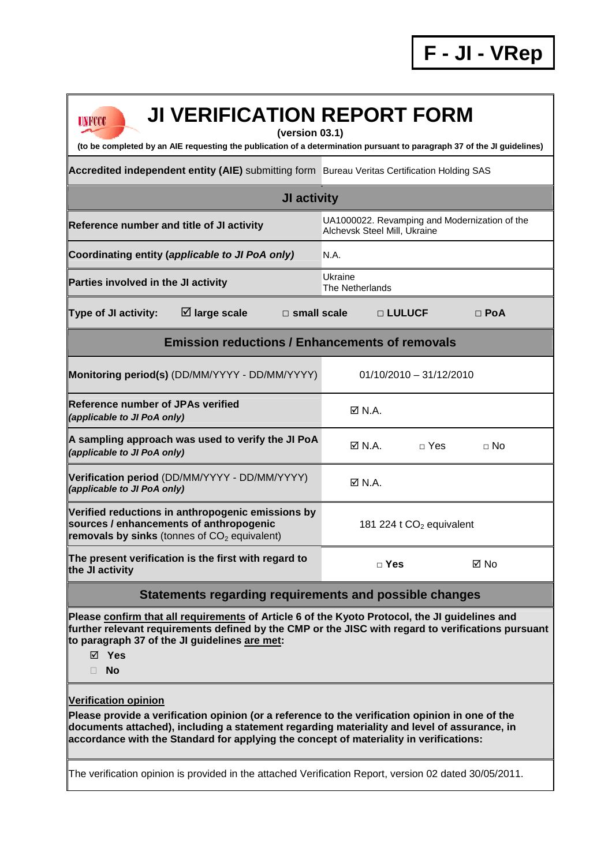| <b>JI VERIFICATION REPORT FORM</b><br>LINNINNIN<br>(version 03.1)<br>(to be completed by an AIE requesting the publication of a determination pursuant to paragraph 37 of the JI guidelines)                                                                                                                            |                                                                               |                           |             |  |  |
|-------------------------------------------------------------------------------------------------------------------------------------------------------------------------------------------------------------------------------------------------------------------------------------------------------------------------|-------------------------------------------------------------------------------|---------------------------|-------------|--|--|
| Accredited independent entity (AIE) submitting form Bureau Veritas Certification Holding SAS                                                                                                                                                                                                                            |                                                                               |                           |             |  |  |
| <b>JI activity</b>                                                                                                                                                                                                                                                                                                      |                                                                               |                           |             |  |  |
| Reference number and title of JI activity                                                                                                                                                                                                                                                                               | UA1000022. Revamping and Modernization of the<br>Alchevsk Steel Mill, Ukraine |                           |             |  |  |
| Coordinating entity (applicable to JI PoA only)                                                                                                                                                                                                                                                                         | N.A.                                                                          |                           |             |  |  |
| Parties involved in the JI activity                                                                                                                                                                                                                                                                                     | Ukraine<br>The Netherlands                                                    |                           |             |  |  |
| $\boxtimes$ large scale<br><b>Type of JI activity:</b><br>$\Box$ small scale                                                                                                                                                                                                                                            |                                                                               | □ LULUCF                  | $\Box$ PoA  |  |  |
| <b>Emission reductions / Enhancements of removals</b>                                                                                                                                                                                                                                                                   |                                                                               |                           |             |  |  |
| Monitoring period(s) (DD/MM/YYYY - DD/MM/YYYY)                                                                                                                                                                                                                                                                          |                                                                               | $01/10/2010 - 31/12/2010$ |             |  |  |
| <b>IReference number of JPAs verified</b><br>(applicable to JI PoA only)                                                                                                                                                                                                                                                | $\boxtimes$ N.A.                                                              |                           |             |  |  |
| A sampling approach was used to verify the JI PoA<br>(applicable to JI PoA only)                                                                                                                                                                                                                                        | $\boxtimes$ N.A.                                                              | $\sqcap$ Yes              | $\sqcap$ No |  |  |
| Verification period (DD/MM/YYYY - DD/MM/YYYY)<br>(applicable to JI PoA only)                                                                                                                                                                                                                                            | $\boxtimes$ N.A.                                                              |                           |             |  |  |
| Verified reductions in anthropogenic emissions by<br>sources / enhancements of anthropogenic<br>removals by sinks (tonnes of $CO2$ equivalent)                                                                                                                                                                          | 181 224 t $CO2$ equivalent                                                    |                           |             |  |  |
| The present verification is the first with regard to<br>the JI activity                                                                                                                                                                                                                                                 | $\Box$ Yes                                                                    |                           | ⊠ No        |  |  |
| Statements regarding requirements and possible changes                                                                                                                                                                                                                                                                  |                                                                               |                           |             |  |  |
| Please confirm that all requirements of Article 6 of the Kyoto Protocol, the JI guidelines and<br>further relevant requirements defined by the CMP or the JISC with regard to verifications pursuant<br>to paragraph 37 of the JI guidelines are met:<br>$\boxtimes$ Yes<br><b>No</b><br>П.                             |                                                                               |                           |             |  |  |
| <b>Verification opinion</b><br>Please provide a verification opinion (or a reference to the verification opinion in one of the<br>documents attached), including a statement regarding materiality and level of assurance, in<br>accordance with the Standard for applying the concept of materiality in verifications: |                                                                               |                           |             |  |  |
| The verification opinion is provided in the attached Verification Report, version 02 dated 30/05/2011.                                                                                                                                                                                                                  |                                                                               |                           |             |  |  |